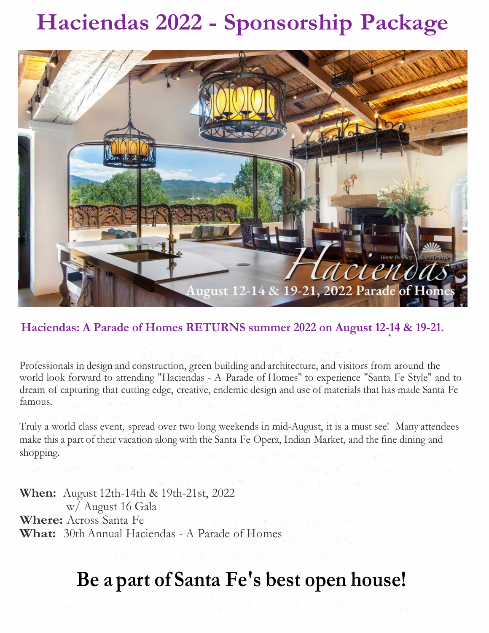# **Haciendas 2022 - Sponsorship Package**



## **Haciendas: A Parade of Homes RETURNS summer 2022 on August 12-14 & 19-21.**

Professionals in design and construction, green building and architecture, and visitors from around the world look forward to attending "Haciendas - A Parade of Homes" to experience "Santa Fe Style" and to dream of capturing that cutting edge, creative, endemic design and use of materials that has made Santa Fe famous.

Truly a world class event, spread over two long weekends in mid-August, it is a must see! Many attendees make this a part of their vacation along with the Santa Fe Opera, Indian Market, and the fine dining and shopping.

**When:** August 12th-14th & 19th-21st, 2022 w/ August 16 Gala **Where:** Across Santa Fe **What:** 30th Annual Haciendas - A Parade of Homes

# **Be a part of Santa Fe's best open house!**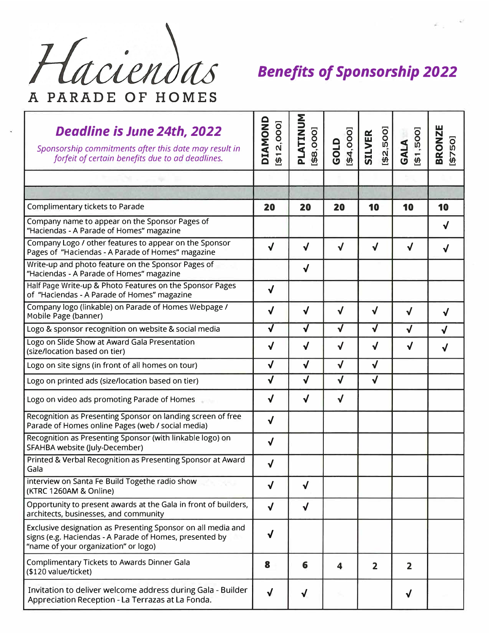

| Deadline is June 24th, 2022<br>Sponsorship commitments after this date may result in<br>forfeit of certain benefits due to ad deadlines.                        | DIAMOND<br>\$12,000] | PLATINUM<br>\$8,000] | \$4,000<br>GOLD         | [\$2,500]<br><b>SILVER</b> | \$1,500]<br>GALA        | <b>BRONZE</b><br>[\$750] |
|-----------------------------------------------------------------------------------------------------------------------------------------------------------------|----------------------|----------------------|-------------------------|----------------------------|-------------------------|--------------------------|
| and the second state of the                                                                                                                                     |                      |                      |                         |                            |                         |                          |
|                                                                                                                                                                 |                      |                      |                         |                            |                         |                          |
| Complimentary tickets to Parade                                                                                                                                 | 20                   | 20                   | 20                      | 10                         | 10                      | 10                       |
| Company name to appear on the Sponsor Pages of<br>"Haciendas - A Parade of Homes" magazine                                                                      |                      |                      |                         |                            |                         | $\checkmark$             |
| Company Logo / other features to appear on the Sponsor<br>Pages of "Haciendas - A Parade of Homes" magazine                                                     | $\checkmark$         | √                    | $\sqrt{2}$              | $\checkmark$               | $\checkmark$            | $\checkmark$             |
| Write-up and photo feature on the Sponsor Pages of<br>"Haciendas - A Parade of Homes" magazine                                                                  |                      | $\sqrt{ }$           |                         |                            |                         |                          |
| Half Page Write-up & Photo Features on the Sponsor Pages<br>of "Haciendas - A Parade of Homes" magazine                                                         | $\checkmark$         |                      |                         |                            |                         |                          |
| Company logo (linkable) on Parade of Homes Webpage /<br>Mobile Page (banner)                                                                                    | $\checkmark$         | $\checkmark$         | $\sqrt{}$               | $\sqrt{ }$                 | √                       | √                        |
| Logo & sponsor recognition on website & social media                                                                                                            | $\checkmark$         | $\sqrt{2}$           | $\sqrt{2}$              | $\sqrt{2}$                 | $\checkmark$            | $\checkmark$             |
| Logo on Slide Show at Award Gala Presentation<br>(size/location based on tier)                                                                                  | √                    | $\sqrt{}$            | $\checkmark$            | $\checkmark$               | √                       | $\checkmark$             |
| Logo on site signs (in front of all homes on tour)                                                                                                              | $\sqrt{2}$           | $\checkmark$         | $\sqrt{}$               | $\sqrt{}$                  |                         |                          |
| Logo on printed ads (size/location based on tier)                                                                                                               | $\checkmark$         | $\checkmark$         | $\sqrt{}$               | $\checkmark$               |                         |                          |
| Logo on video ads promoting Parade of Homes                                                                                                                     | $\checkmark$         | $\sqrt{ }$           | $\checkmark$            |                            |                         |                          |
| Recognition as Presenting Sponsor on landing screen of free<br>Parade of Homes online Pages (web / social media)                                                | $\sqrt{}$            |                      |                         |                            |                         |                          |
| Recognition as Presenting Sponsor (with linkable logo) on<br>SFAHBA website (July-December)                                                                     | $\checkmark$         |                      |                         |                            |                         |                          |
| Printed & Verbal Recognition as Presenting Sponsor at Award<br>Gala                                                                                             | $\checkmark$         |                      |                         |                            |                         |                          |
| interview on Santa Fe Build Togethe radio show<br>(KTRC 1260AM & Online)                                                                                        | $\checkmark$         | $\checkmark$         |                         |                            |                         |                          |
| Opportunity to present awards at the Gala in front of builders,<br>architects, businesses, and community                                                        | $\sqrt{2}$           | $\sqrt{ }$           |                         |                            |                         |                          |
| Exclusive designation as Presenting Sponsor on all media and<br>signs (e.g. Haciendas - A Parade of Homes, presented by<br>"name of your organization" or logo) | $\sqrt{}$            |                      |                         |                            |                         |                          |
| Complimentary Tickets to Awards Dinner Gala<br>(\$120 value/ticket)                                                                                             | 8                    | 6                    | $\overline{\mathbf{4}}$ | $\overline{\mathbf{2}}$    | $\overline{\mathbf{2}}$ |                          |
| Invitation to deliver welcome address during Gala - Builder<br>Appreciation Reception - La Terrazas at La Fonda.                                                | $\sqrt{}$            | $\sqrt{}$            |                         |                            | $\checkmark$            |                          |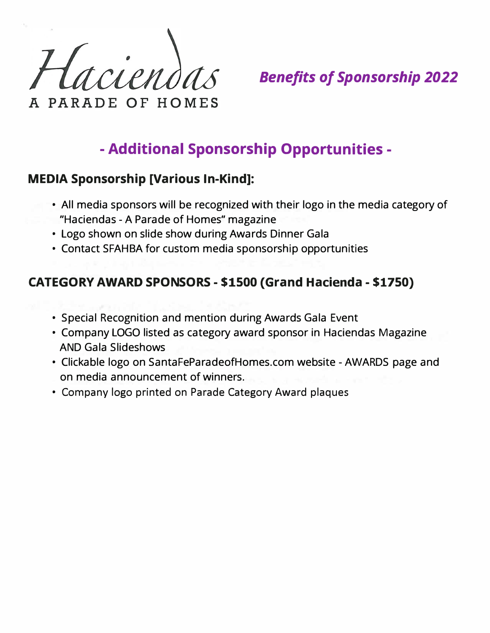trien PARADE OF HOMES

# **- Additional Sponsorship Opportunities -**

## **MEDIA Sponsorship [Various In-Kind]:**

- All media sponsors will be recognized with their logo in the media category of "Haciendas - A Parade of Homes" magazine
- Logo shown on slide show during Awards Dinner Gala
- Contact SFAHBA for custom media sponsorship opportunities

## **CATEGORY AWARD SPONSORS - \$1500 (Grand Hacienda - \$1750)**

- Special Recognition and mention during Awards Gala Event
- Company LOGO listed as category award sponsor in Haciendas Magazine AND Gala Slideshows
- Clickable logo on SantaFeParadeofHomes.com website AWARDS page and on media announcement of winners.
- Company logo printed on Parade Category Award plaques